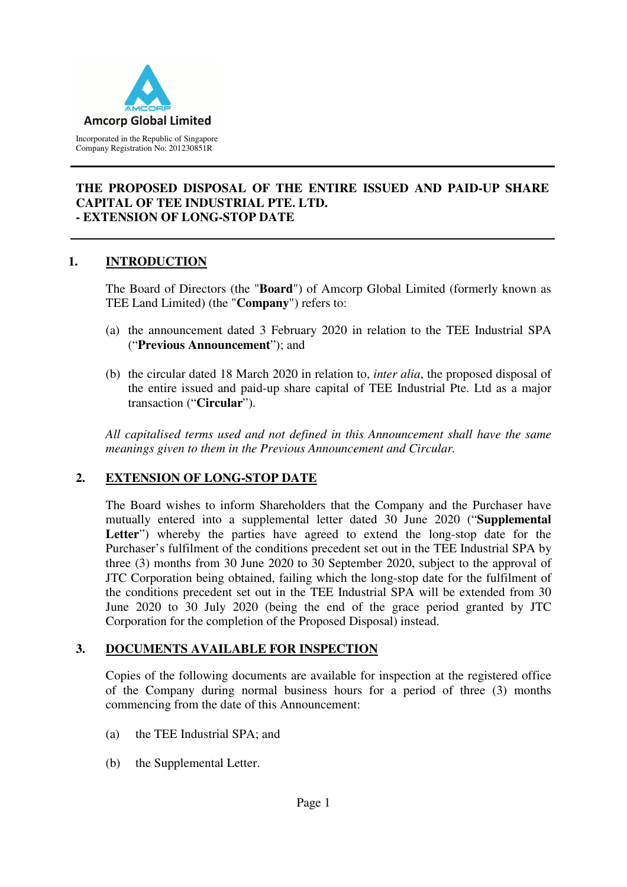

### **THE PROPOSED DISPOSAL OF THE ENTIRE ISSUED AND PAID-UP SHARE CAPITAL OF TEE INDUSTRIAL PTE. LTD. - EXTENSION OF LONG-STOP DATE**

## **1. INTRODUCTION**

The Board of Directors (the "**Board**") of Amcorp Global Limited (formerly known as TEE Land Limited) (the "**Company**") refers to:

- (a) the announcement dated 3 February 2020 in relation to the TEE Industrial SPA ("**Previous Announcement**"); and
- (b) the circular dated 18 March 2020 in relation to, *inter alia*, the proposed disposal of the entire issued and paid-up share capital of TEE Industrial Pte. Ltd as a major transaction ("**Circular**").

*All capitalised terms used and not defined in this Announcement shall have the same meanings given to them in the Previous Announcement and Circular.* 

## **2. EXTENSION OF LONG-STOP DATE**

The Board wishes to inform Shareholders that the Company and the Purchaser have mutually entered into a supplemental letter dated 30 June 2020 ("**Supplemental**  Letter") whereby the parties have agreed to extend the long-stop date for the Purchaser's fulfilment of the conditions precedent set out in the TEE Industrial SPA by three (3) months from 30 June 2020 to 30 September 2020, subject to the approval of JTC Corporation being obtained, failing which the long-stop date for the fulfilment of the conditions precedent set out in the TEE Industrial SPA will be extended from 30 June 2020 to 30 July 2020 (being the end of the grace period granted by JTC Corporation for the completion of the Proposed Disposal) instead.

## **3. DOCUMENTS AVAILABLE FOR INSPECTION**

Copies of the following documents are available for inspection at the registered office of the Company during normal business hours for a period of three (3) months commencing from the date of this Announcement:

- (a) the TEE Industrial SPA; and
- (b) the Supplemental Letter.